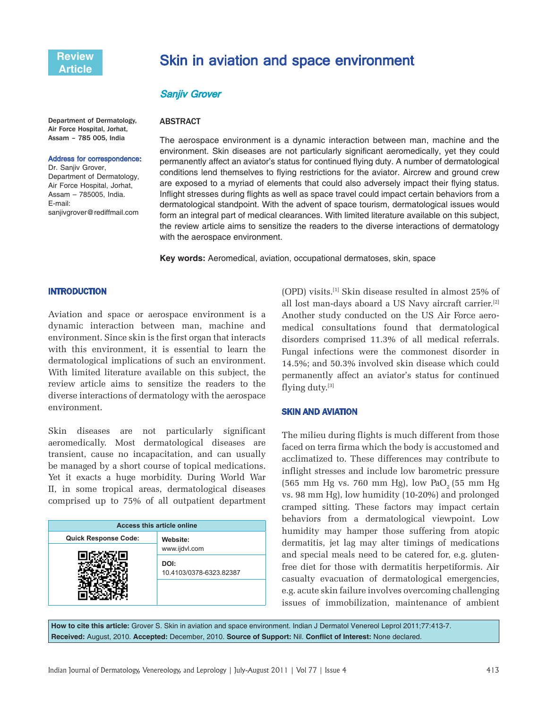# Skin in aviation and space environment

### Sanjiv Grover

**ABSTRACT** 

#### Department of Dermatology, Air Force Hospital, Jorhat, Assam – 785 005, India

#### Address for correspondence:

Dr. Sanjiv Grover, Department of Dermatology, Air Force Hospital, Jorhat, Assam – 785005, India. E-mail: sanjivgrover@rediffmail.com

The aerospace environment is a dynamic interaction between man, machine and the environment. Skin diseases are not particularly significant aeromedically, yet they could permanently affect an aviator's status for continued flying duty. A number of dermatological conditions lend themselves to flying restrictions for the aviator. Aircrew and ground crew are exposed to a myriad of elements that could also adversely impact their flying status. Inflight stresses during flights as well as space travel could impact certain behaviors from a dermatological standpoint. With the advent of space tourism, dermatological issues would form an integral part of medical clearances. With limited literature available on this subject, the review article aims to sensitize the readers to the diverse interactions of dermatology with the aerospace environment.

**Key words:** Aeromedical, aviation, occupational dermatoses, skin, space

#### **INTRODUCTION**

Aviation and space or aerospace environment is a dynamic interaction between man, machine and environment. Since skin is the first organ that interacts with this environment, it is essential to learn the dermatological implications of such an environment. With limited literature available on this subject, the review article aims to sensitize the readers to the diverse interactions of dermatology with the aerospace environment.

Skin diseases are not particularly significant aeromedically. Most dermatological diseases are transient, cause no incapacitation, and can usually be managed by a short course of topical medications. Yet it exacts a huge morbidity. During World War II, in some tropical areas, dermatological diseases comprised up to 75% of all outpatient department

| <b>Access this article online</b> |                                 |  |
|-----------------------------------|---------------------------------|--|
| <b>Quick Response Code:</b>       | Website:<br>www.ijdvl.com       |  |
|                                   |                                 |  |
|                                   | DOI:<br>10.4103/0378-6323.82387 |  |
|                                   |                                 |  |

(OPD) visits.[1] Skin disease resulted in almost 25% of all lost man-days aboard a US Navy aircraft carrier.[2] Another study conducted on the US Air Force aeromedical consultations found that dermatological disorders comprised 11.3% of all medical referrals. Fungal infections were the commonest disorder in 14.5%; and 50.3% involved skin disease which could permanently affect an aviator's status for continued flying duty.[3]

#### SKIN AND AVIATION

The milieu during flights is much different from those faced on terra firma which the body is accustomed and acclimatized to. These differences may contribute to inflight stresses and include low barometric pressure  $(565 \text{ mm Hg vs. } 760 \text{ mm Hg})$ , low PaO<sub>2</sub> (55 mm Hg) vs. 98 mm Hg), low humidity (10-20%) and prolonged cramped sitting. These factors may impact certain behaviors from a dermatological viewpoint. Low humidity may hamper those suffering from atopic dermatitis, jet lag may alter timings of medications and special meals need to be catered for, e.g. glutenfree diet for those with dermatitis herpetiformis. Air casualty evacuation of dermatological emergencies, e.g. acute skin failure involves overcoming challenging issues of immobilization, maintenance of ambient

**How to cite this article:** Grover S. Skin in aviation and space environment. Indian J Dermatol Venereol Leprol 2011;77:413-7. **Received:** August, 2010. **Accepted:** December, 2010. **Source of Support:** Nil. **Conflict of Interest:** None declared.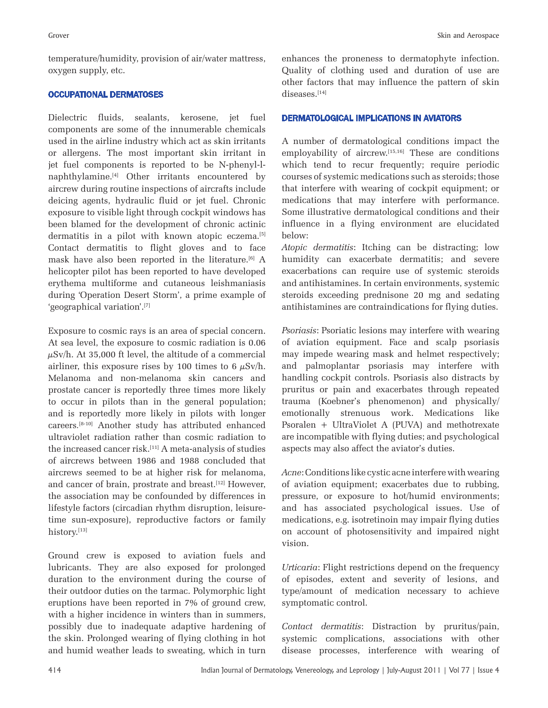temperature/humidity, provision of air/water mattress, oxygen supply, etc.

## OCCUPATIONAL DERMATOSES

Dielectric fluids, sealants, kerosene, jet fuel components are some of the innumerable chemicals used in the airline industry which act as skin irritants or allergens. The most important skin irritant in jet fuel components is reported to be N-phenyl-lnaphthylamine.[4] Other irritants encountered by aircrew during routine inspections of aircrafts include deicing agents, hydraulic fluid or jet fuel. Chronic exposure to visible light through cockpit windows has been blamed for the development of chronic actinic dermatitis in a pilot with known atopic eczema.<sup>[5]</sup> Contact dermatitis to flight gloves and to face mask have also been reported in the literature.<sup>[6]</sup> A helicopter pilot has been reported to have developed erythema multiforme and cutaneous leishmaniasis during 'Operation Desert Storm', a prime example of 'geographical variation'.[7]

Exposure to cosmic rays is an area of special concern. At sea level, the exposure to cosmic radiation is 0.06  $\mu$ Sv/h. At 35,000 ft level, the altitude of a commercial airliner, this exposure rises by 100 times to 6  $\mu$ Sv/h. Melanoma and non-melanoma skin cancers and prostate cancer is reportedly three times more likely to occur in pilots than in the general population; and is reportedly more likely in pilots with longer careers*.* [8-10] Another study has attributed enhanced ultraviolet radiation rather than cosmic radiation to the increased cancer risk. $^{[11]}$  A meta-analysis of studies of aircrews between 1986 and 1988 concluded that aircrews seemed to be at higher risk for melanoma, and cancer of brain, prostrate and breast.<sup>[12]</sup> However, the association may be confounded by differences in lifestyle factors (circadian rhythm disruption, leisuretime sun-exposure), reproductive factors or family history.[13]

Ground crew is exposed to aviation fuels and lubricants. They are also exposed for prolonged duration to the environment during the course of their outdoor duties on the tarmac. Polymorphic light eruptions have been reported in 7% of ground crew, with a higher incidence in winters than in summers, possibly due to inadequate adaptive hardening of the skin. Prolonged wearing of flying clothing in hot and humid weather leads to sweating, which in turn

enhances the proneness to dermatophyte infection. Quality of clothing used and duration of use are other factors that may influence the pattern of skin diseases.[14]

#### DERMATOLOGICAL IMPLICATIONS IN AVIATORS

A number of dermatological conditions impact the employability of aircrew.<sup>[15,16]</sup> These are conditions which tend to recur frequently; require periodic courses of systemic medications such as steroids; those that interfere with wearing of cockpit equipment; or medications that may interfere with performance. Some illustrative dermatological conditions and their influence in a flying environment are elucidated below:

*Atopic dermatitis*: Itching can be distracting; low humidity can exacerbate dermatitis; and severe exacerbations can require use of systemic steroids and antihistamines. In certain environments, systemic steroids exceeding prednisone 20 mg and sedating antihistamines are contraindications for flying duties.

*Psoriasis*: Psoriatic lesions may interfere with wearing of aviation equipment. Face and scalp psoriasis may impede wearing mask and helmet respectively; and palmoplantar psoriasis may interfere with handling cockpit controls. Psoriasis also distracts by pruritus or pain and exacerbates through repeated trauma (Koebner's phenomenon) and physically/ emotionally strenuous work. Medications like Psoralen + UltraViolet A (PUVA) and methotrexate are incompatible with flying duties; and psychological aspects may also affect the aviator's duties.

*Acne*: Conditions like cystic acne interfere with wearing of aviation equipment; exacerbates due to rubbing, pressure, or exposure to hot/humid environments; and has associated psychological issues. Use of medications, e.g. isotretinoin may impair flying duties on account of photosensitivity and impaired night vision.

*Urticaria*: Flight restrictions depend on the frequency of episodes, extent and severity of lesions, and type/amount of medication necessary to achieve symptomatic control.

*Contact dermatitis*: Distraction by pruritus/pain, systemic complications, associations with other disease processes, interference with wearing of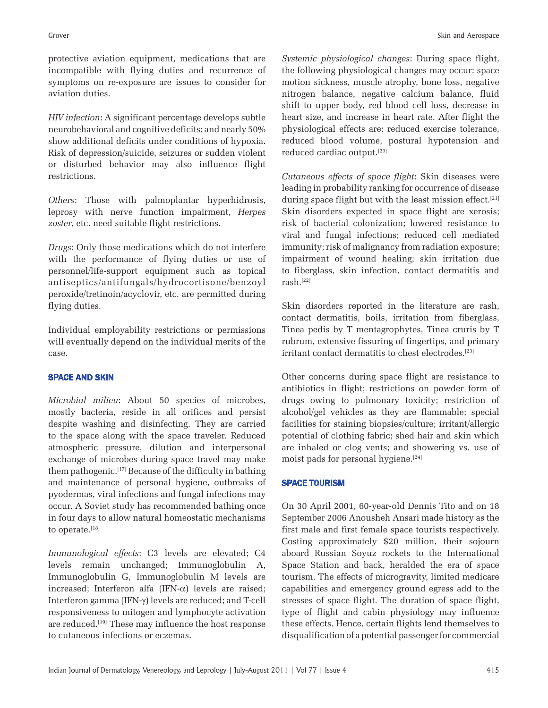protective aviation equipment, medications that are incompatible with flying duties and recurrence of symptoms on re-exposure are issues to consider for aviation duties.

*HIV infection*: A significant percentage develops subtle neurobehavioral and cognitive deficits; and nearly 50% show additional deficits under conditions of hypoxia. Risk of depression/suicide, seizures or sudden violent or disturbed behavior may also influence flight restrictions.

*Others*: Those with palmoplantar hyperhidrosis, leprosy with nerve function impairment, *Herpes zoster*, etc. need suitable flight restrictions.

*Drugs*: Only those medications which do not interfere with the performance of flying duties or use of personnel/life-support equipment such as topical antiseptics/antifungals/hydrocortisone/benzoyl peroxide/tretinoin/acyclovir, etc. are permitted during flying duties.

Individual employability restrictions or permissions will eventually depend on the individual merits of the case.

### SPACE AND SKIN

*Microbial milieu*: About 50 species of microbes, mostly bacteria, reside in all orifices and persist despite washing and disinfecting. They are carried to the space along with the space traveler. Reduced atmospheric pressure, dilution and interpersonal exchange of microbes during space travel may make them pathogenic.[17] Because of the difficulty in bathing and maintenance of personal hygiene, outbreaks of pyodermas, viral infections and fungal infections may occur. A Soviet study has recommended bathing once in four days to allow natural homeostatic mechanisms to operate.[18]

*Immunological effects*: C3 levels are elevated; C4 levels remain unchanged; Immunoglobulin A, Immunoglobulin G, Immunoglobulin M levels are increased; Interferon alfa (IFN-α) levels are raised; Interferon gamma (IFN-γ) levels are reduced; and T-cell responsiveness to mitogen and lymphocyte activation are reduced.<sup>[19]</sup> These may influence the host response to cutaneous infections or eczemas.

*Systemic physiological changes*: During space flight, the following physiological changes may occur: space motion sickness, muscle atrophy, bone loss, negative nitrogen balance, negative calcium balance, fluid shift to upper body, red blood cell loss, decrease in heart size, and increase in heart rate. After flight the physiological effects are: reduced exercise tolerance, reduced blood volume, postural hypotension and reduced cardiac output.[20]

*Cutaneous effects of space flight*: Skin diseases were leading in probability ranking for occurrence of disease during space flight but with the least mission effect.<sup>[21]</sup> Skin disorders expected in space flight are xerosis; risk of bacterial colonization; lowered resistance to viral and fungal infections; reduced cell mediated immunity; risk of malignancy from radiation exposure; impairment of wound healing; skin irritation due to fiberglass, skin infection, contact dermatitis and rash.[22]

Skin disorders reported in the literature are rash, contact dermatitis, boils, irritation from fiberglass, Tinea pedis by T mentagrophytes, Tinea cruris by T rubrum, extensive fissuring of fingertips, and primary irritant contact dermatitis to chest electrodes.[23]

Other concerns during space flight are resistance to antibiotics in flight; restrictions on powder form of drugs owing to pulmonary toxicity; restriction of alcohol/gel vehicles as they are flammable; special facilities for staining biopsies/culture; irritant/allergic potential of clothing fabric; shed hair and skin which are inhaled or clog vents; and showering vs. use of moist pads for personal hygiene.[24]

#### SPACE TOURISM

On 30 April 2001, 60-year-old Dennis Tito and on 18 September 2006 Anousheh Ansari made history as the first male and first female space tourists respectively. Costing approximately \$20 million, their sojourn aboard Russian Soyuz rockets to the International Space Station and back, heralded the era of space tourism. The effects of microgravity, limited medicare capabilities and emergency ground egress add to the stresses of space flight. The duration of space flight, type of flight and cabin physiology may influence these effects. Hence, certain flights lend themselves to disqualification of a potential passenger for commercial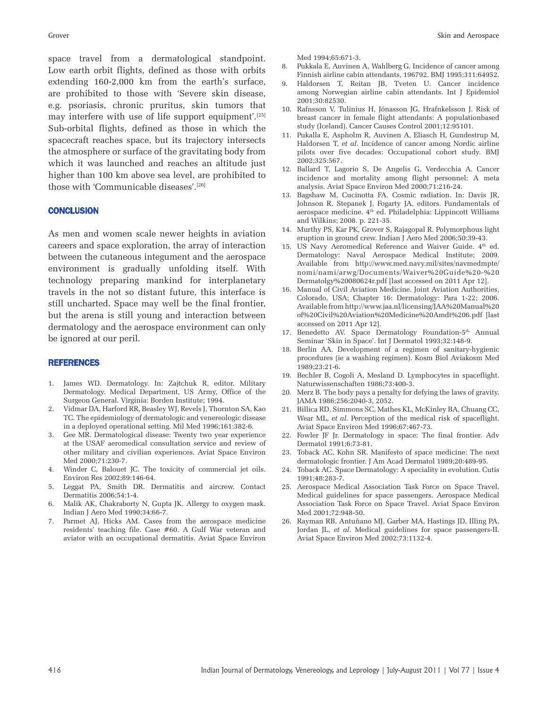space travel from a dermatological standpoint. Low earth orbit flights, defined as those with orbits extending 160-2,000 km from the earth's surface, are prohibited to those with 'Severe skin disease, e.g. psoriasis, chronic pruritus, skin tumors that may interfere with use of life support equipment'.[25] Sub-orbital flights, defined as those in which the spacecraft reaches space, but its trajectory intersects the atmosphere or surface of the gravitating body from which it was launched and reaches an altitude just higher than 100 km above sea level, are prohibited to those with 'Communicable diseases'.[26]

#### **CONCLUSION**

As men and women scale newer heights in aviation careers and space exploration, the array of interaction between the cutaneous integument and the aerospace environment is gradually unfolding itself. With technology preparing mankind for interplanetary travels in the not so distant future, this interface is still uncharted. Space may well be the final frontier, but the arena is still young and interaction between dermatology and the aerospace environment can only be ignored at our peril.

#### REFERENCES

- 1. James WD. Dermatology. In: Zajtchuk R, editor. Military Dermatology. Medical Department, US Army, Office of the Surgeon General. Virginia: Borden Institute; 1994.
- 2. Vidmar DA, Harford RR, Beasley WJ, Revels J, Thornton SA, Kao TC. The epidemiology of dermatologic and venereologic disease in a deployed operational setting. Mil Med 1996;161:382-6.
- 3. Gee MR. Dermatological disease: Twenty two year experience at the USAF aeromedical consultation service and review of other military and civilian experiences. Aviat Space Environ Med 2000;71:230-7.
- 4. Winder C, Balouet JC. The toxicity of commercial jet oils. Environ Res 2002;89:146-64.
- 5. Leggat PA, Smith DR. Dermatitis and aircrew. Contact Dermatitis 2006;54:1-4.
- 6. Malik AK, Chakraborty N, Gupta JK. Allergy to oxygen mask. Indian J Aero Med 1990;34:66-7.
- 7. Parmet AJ, Hicks AM. Cases from the aerospace medicine residents' teaching file. Case #60. A Gulf War veteran and aviator with an occupational dermatitis. Aviat Space Environ

Med 1994;65:671-3.

- 8. Pukkala E, Auvinen A, Wahlberg G. Incidence of cancer among Finnish airline cabin attendants, 196792. BMJ 1995;311:64952.
- 9. Haldorsen T, Reitan JB, Tveten U. Cancer incidence among Norwegian airline cabin attendants. Int J Epidemiol 2001;30:82530.
- 10. Rafnsson V, Tulinius H, Jónasson JG, Hrafnkelsson J. Risk of breast cancer in female flight attendants: A populationbased study (Iceland). Cancer Causes Control 2001;12:95101.
- 11. Pukalla E, Aspholm R, Auvinen A, Eliasch H, Gundestrup M, Haldorsen T, *et al*. Incidence of cancer among Nordic airline pilots over five decades: Occupational cohort study. BMJ 2002;325:567.
- 12. Ballard T, Lagorio S, De Angelis G, Verdecchia A. Cancer incidence and mortality among flight personnel: A meta analysis. Aviat Space Environ Med 2000;71:216-24.
- 13. Bagshaw M, Cucinotta FA. Cosmic radiation. In: Davis JR, Johnson R, Stepanek J, Fogarty JA, editors. Fundamentals of aerospace medicine. 4<sup>th</sup> ed. Philadelphia: Lippincott Williams and Wilkins; 2008. p. 221-35.
- 14. Murthy PS, Kar PK, Grover S, Rajagopal R. Polymorphous light eruption in ground crew. Indian J Aero Med 2006;50:39-43.
- 15. US Navy Aeromedical Reference and Waiver Guide. 4<sup>th</sup> ed. Dermatology: Naval Aerospace Medical Institute; 2009. Available from http://www.med.navy.mil/sites/navmedmpte/ nomi/nami/arwg/Documents/Waiver%20Guide%20-%20 Dermatolgy%20080624r.pdf [last accessed on 2011 Apr 12].
- 16. Manual of Civil Aviation Medicine. Joint Aviation Authorities, Colorado, USA; Chapter 16: Dermatology: Para 1-22; 2006. Available from http://www.jaa.nl/licensing/JAA%20Manual%20 of%20Civil%20Aviation%20Medicine%20Amdt%206.pdf [last accessed on 2011 Apr 12].
- 17. Benedetto AV. Space Dermatology Foundation-5<sup>th</sup> Annual Seminar 'Skin in Space'. Int J Dermatol 1993;32:148-9.
- 18. Berlin AA. Development of a regimen of sanitary-hygienic procedures (ie a washing regimen). Kosm Biol Aviakosm Med 1989;23:21-6.
- 19. Bechler B, Cogoli A, Mesland D. Lymphocytes in spaceflight. Naturwissenschaften 1986;73:400-3.
- 20. Merz B. The body pays a penalty for defying the laws of gravity. JAMA 1986;256:2040-3, 2052.
- 21. Billica RD, Simmons SC, Mathes KL, McKinley BA, Chuang CC, Wear ML, *et al*. Perception of the medical risk of spaceflight. Aviat Space Environ Med 1996;67:467-73.
- 22. Fowler JF Jr. Dermatology in space: The final frontier. Adv Dermatol 1991;6:73-81.
- 23. Toback AC, Kohn SR. Manifesto of space medicine: The next dermatologic frontier. J Am Acad Dermatol 1989;20:489-95.
- 24. Toback AC. Space Dermatology: A speciality in evolution. Cutis 1991;48:283-7.
- 25. Aerospace Medical Association Task Force on Space Travel. Medical guidelines for space passengers. Aerospace Medical Association Task Force on Space Travel. Aviat Space Environ Med 2001;72:948-50.
- 26. Rayman RB, Antuñano MJ, Garber MA, Hastings JD, Illing PA, Jordan JL, *et al*. Medical guidelines for space passengers-II. Aviat Space Environ Med 2002;73:1132-4.